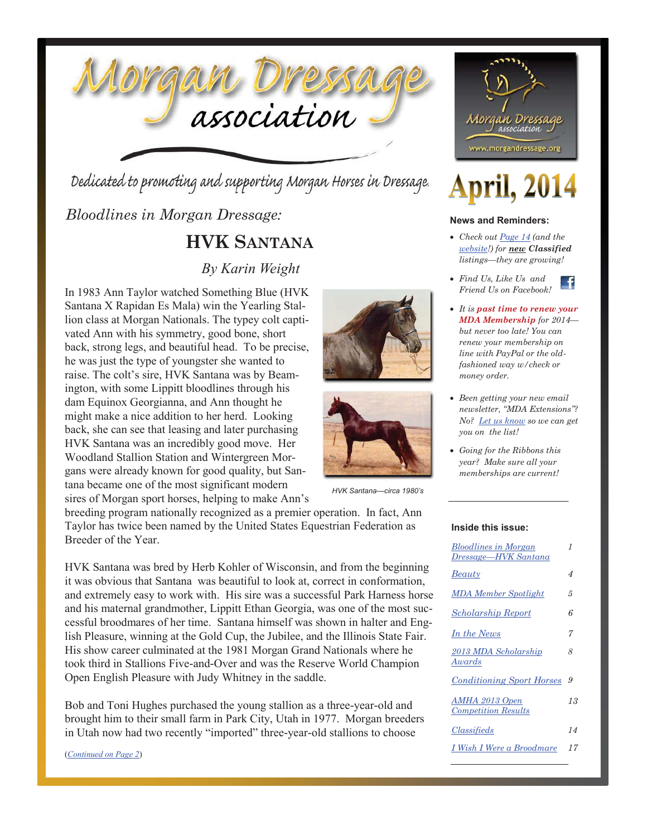

Dedicated to promoting and supporting Morgan Horses in Dressage.

*Bloodlines in Morgan Dressage:* 

### **HVK SANTANA**

### *By Karin Weight*

In 1983 Ann Taylor watched Something Blue (HVK Santana X Rapidan Es Mala) win the Yearling Stallion class at Morgan Nationals. The typey colt captivated Ann with his symmetry, good bone, short back, strong legs, and beautiful head. To be precise, he was just the type of youngster she wanted to raise. The colt's sire, HVK Santana was by Beamington, with some Lippitt bloodlines through his dam Equinox Georgianna, and Ann thought he might make a nice addition to her herd. Looking back, she can see that leasing and later purchasing HVK Santana was an incredibly good move. Her Woodland Stallion Station and Wintergreen Morgans were already known for good quality, but Santana became one of the most significant modern sires of Morgan sport horses, helping to make Ann's





*HVK Santana—circa 1980's*

breeding program nationally recognized as a premier operation. In fact, Ann Taylor has twice been named by the United States Equestrian Federation as Breeder of the Year.

HVK Santana was bred by Herb Kohler of Wisconsin, and from the beginning it was obvious that Santana was beautiful to look at, correct in conformation, and extremely easy to work with. His sire was a successful Park Harness horse and his maternal grandmother, Lippitt Ethan Georgia, was one of the most successful broodmares of her time. Santana himself was shown in halter and English Pleasure, winning at the Gold Cup, the Jubilee, and the Illinois State Fair. His show career culminated at the 1981 Morgan Grand Nationals where he took third in Stallions Five-and-Over and was the Reserve World Champion Open English Pleasure with Judy Whitney in the saddle.

Bob and Toni Hughes purchased the young stallion as a three-year-old and brought him to their small farm in Park City, Utah in 1977. Morgan breeders in Utah now had two recently "imported" three-year-old stallions to choose

(*Continued on Page 2*)



# **April, 2014**

#### **News and Reminders:**

- x *Check out Page 14 (and the website!) for new Classified listings—they are growing!*
- x *Find Us, Like Us and Friend Us on Facebook!*
- x *It is past time to renew your MDA Membership for 2014 but never too late! You can renew your membership on line with PayPal or the oldfashioned way w/check or money order.*
- x *Been getting your new email newsletter, "MDA Extensions"? No? Let us know so we can get you on the list!*
- x *Going for the Ribbons this year? Make sure all your memberships are current!*

#### **Inside this issue:**

| <b>Bloodlines in Morgan</b><br>Dressage-HVK Santana | 1  |
|-----------------------------------------------------|----|
| Beauty                                              | 4  |
| MDA Member Spotlight                                | 5  |
| <b>Scholarship Report</b>                           | 6  |
| In the News                                         | 7  |
| 2013 MDA Scholarship<br>Awards                      | 8  |
| <b>Conditioning Sport Horses</b>                    | 9. |
| AMHA 2013 Open<br><b>Competition Results</b>        | 13 |
| Classifieds                                         | 14 |
| I Wish I Were a Broodmare                           | 17 |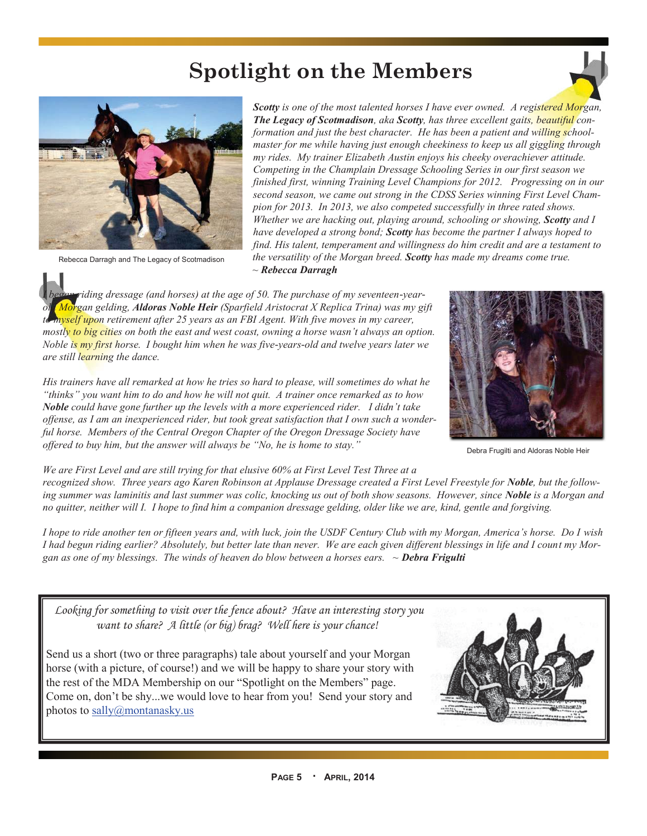## **Spotlight on the Members**



Rebecca Darragh and The Legacy of Scotmadison

*Scotty is one of the most talented horses I have ever owned. A registered Morgan, The Legacy of Scotmadison, aka Scotty, has three excellent gaits, beautiful conformation and just the best character. He has been a patient and willing schoolmaster for me while having just enough cheekiness to keep us all giggling through my rides. My trainer Elizabeth Austin enjoys his cheeky overachiever attitude. Competing in the Champlain Dressage Schooling Series in our first season we finished first, winning Training Level Champions for 2012. Progressing on in our second season, we came out strong in the CDSS Series winning First Level Champion for 2013. In 2013, we also competed successfully in three rated shows. Whether we are hacking out, playing around, schooling or showing, Scotty and I have developed a strong bond; Scotty has become the partner I always hoped to find. His talent, temperament and willingness do him credit and are a testament to the versatility of the Morgan breed. Scotty has made my dreams come true. ~ Rebecca Darragh*

*I began riding dressage (and horses) at the age of 50. The purchase of my seventeen-yearold Morgan gelding, Aldoras Noble Heir (Sparfield Aristocrat X Replica Trina) was my gift to myself upon retirement after 25 years as an FBI Agent. With five moves in my career, mostly to big cities on both the east and west coast, owning a horse wasn't always an option. Noble is my first horse. I bought him when he was five-years-old and twelve years later we are still learning the dance.*

*His trainers have all remarked at how he tries so hard to please, will sometimes do what he "thinks" you want him to do and how he will not quit. A trainer once remarked as to how Noble could have gone further up the levels with a more experienced rider. I didn't take offense, as I am an inexperienced rider, but took great satisfaction that I own such a wonderful horse. Members of the Central Oregon Chapter of the Oregon Dressage Society have offered to buy him, but the answer will always be "No, he is home to stay."* 

Debra Frugilti and Aldoras Noble Heir

*We are First Level and are still trying for that elusive 60% at First Level Test Three at a recognized show. Three years ago Karen Robinson at Applause Dressage created a First Level Freestyle for Noble, but the following summer was laminitis and last summer was colic, knocking us out of both show seasons. However, since Noble is a Morgan and no quitter, neither will I. I hope to find him a companion dressage gelding, older like we are, kind, gentle and forgiving.*

*I hope to ride another ten or fifteen years and, with luck, join the USDF Century Club with my Morgan, America's horse. Do I wish I had begun riding earlier? Absolutely, but better late than never. We are each given different blessings in life and I count my Morgan as one of my blessings. The winds of heaven do blow between a horses ears. ~ Debra Frigulti*

 *Looking for something to visit over the fence about? Have an interesting story you want to share? A little (or big) brag? Well here is your chance!* 

Send us a short (two or three paragraphs) tale about yourself and your Morgan horse (with a picture, of course!) and we will be happy to share your story with the rest of the MDA Membership on our "Spotlight on the Members" page. Come on, don't be shy...we would love to hear from you! Send your story and photos to sally@montanasky.us

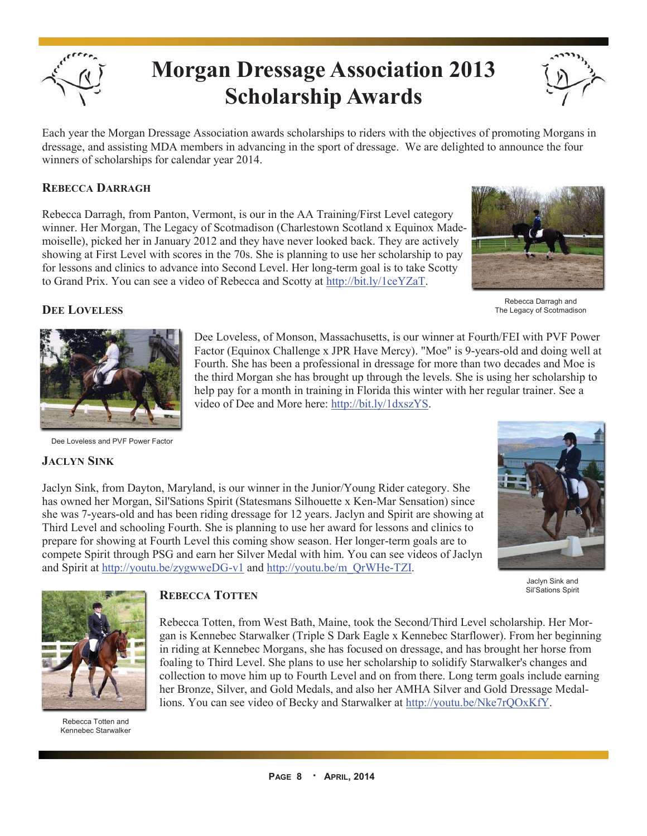

# **Morgan Dressage Association 2013 Scholarship Awards**



Each year the Morgan Dressage Association awards scholarships to riders with the objectives of promoting Morgans in dressage, and assisting MDA members in advancing in the sport of dressage. We are delighted to announce the four winners of scholarships for calendar year 2014.

#### **REBECCA DARRAGH**

Rebecca Darragh, from Panton, Vermont, is our in the AA Training/First Level category winner. Her Morgan, The Legacy of Scotmadison (Charlestown Scotland x Equinox Mademoiselle), picked her in January 2012 and they have never looked back. They are actively showing at First Level with scores in the 70s. She is planning to use her scholarship to pay for lessons and clinics to advance into Second Level. Her long-term goal is to take Scotty to Grand Prix. You can see a video of Rebecca and Scotty at http://bit.ly/1ceYZaT.



Rebecca Darragh and The Legacy of Scotmadison

#### **DEE LOVELESS**



Dee Loveless and PVF Power Factor

#### **JACLYN SINK**

Dee Loveless, of Monson, Massachusetts, is our winner at Fourth/FEI with PVF Power Factor (Equinox Challenge x JPR Have Mercy). "Moe" is 9-years-old and doing well at Fourth. She has been a professional in dressage for more than two decades and Moe is the third Morgan she has brought up through the levels. She is using her scholarship to help pay for a month in training in Florida this winter with her regular trainer. See a video of Dee and More here: http://bit.ly/1dxszYS.

Jaclyn Sink, from Dayton, Maryland, is our winner in the Junior/Young Rider category. She has owned her Morgan, Sil'Sations Spirit (Statesmans Silhouette x Ken-Mar Sensation) since she was 7-years-old and has been riding dressage for 12 years. Jaclyn and Spirit are showing at Third Level and schooling Fourth. She is planning to use her award for lessons and clinics to prepare for showing at Fourth Level this coming show season. Her longer-term goals are to compete Spirit through PSG and earn her Silver Medal with him. You can see videos of Jaclyn and Spirit at http://youtu.be/zygwweDG-v1 and http://youtu.be/m\_QrWHe-TZI.



Jaclyn Sink and Sil'Sations Spirit



Rebecca Totten and Kennebec Starwalker

#### **REBECCA TOTTEN**

Rebecca Totten, from West Bath, Maine, took the Second/Third Level scholarship. Her Morgan is Kennebec Starwalker (Triple S Dark Eagle x Kennebec Starflower). From her beginning in riding at Kennebec Morgans, she has focused on dressage, and has brought her horse from foaling to Third Level. She plans to use her scholarship to solidify Starwalker's changes and collection to move him up to Fourth Level and on from there. Long term goals include earning her Bronze, Silver, and Gold Medals, and also her AMHA Silver and Gold Dressage Medallions. You can see video of Becky and Starwalker at http://youtu.be/Nke7rQOxKfY.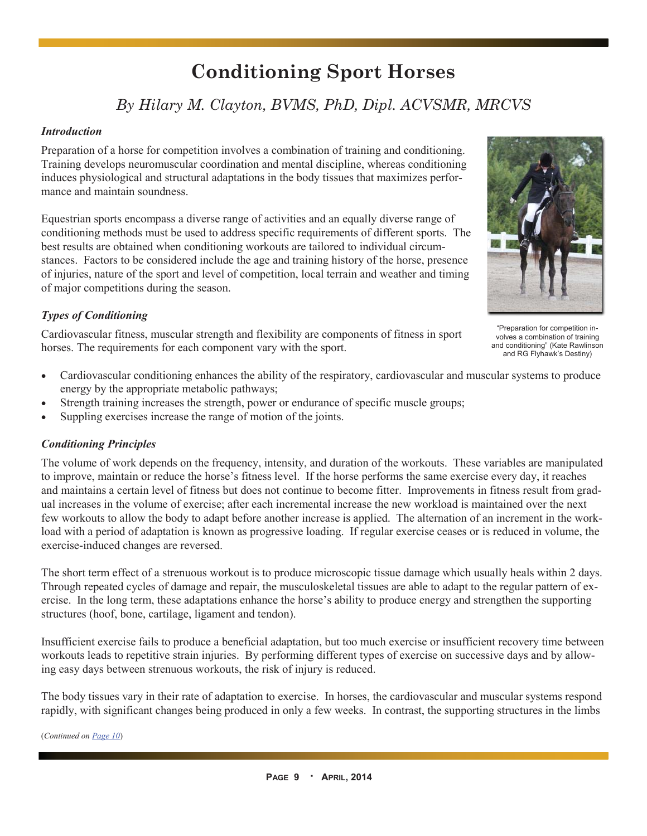### **Conditioning Sport Horses**

### *By Hilary M. Clayton, BVMS, PhD, Dipl. ACVSMR, MRCVS*

#### *Introduction*

Preparation of a horse for competition involves a combination of training and conditioning. Training develops neuromuscular coordination and mental discipline, whereas conditioning induces physiological and structural adaptations in the body tissues that maximizes performance and maintain soundness.

Equestrian sports encompass a diverse range of activities and an equally diverse range of conditioning methods must be used to address specific requirements of different sports. The best results are obtained when conditioning workouts are tailored to individual circumstances. Factors to be considered include the age and training history of the horse, presence of injuries, nature of the sport and level of competition, local terrain and weather and timing of major competitions during the season.

#### *Types of Conditioning*

Cardiovascular fitness, muscular strength and flexibility are components of fitness in sport horses. The requirements for each component vary with the sport.

- Cardiovascular conditioning enhances the ability of the respiratory, cardiovascular and muscular systems to produce energy by the appropriate metabolic pathways;
- Strength training increases the strength, power or endurance of specific muscle groups;
- Suppling exercises increase the range of motion of the joints.

#### *Conditioning Principles*

The volume of work depends on the frequency, intensity, and duration of the workouts. These variables are manipulated to improve, maintain or reduce the horse's fitness level. If the horse performs the same exercise every day, it reaches and maintains a certain level of fitness but does not continue to become fitter. Improvements in fitness result from gradual increases in the volume of exercise; after each incremental increase the new workload is maintained over the next few workouts to allow the body to adapt before another increase is applied. The alternation of an increment in the workload with a period of adaptation is known as progressive loading. If regular exercise ceases or is reduced in volume, the exercise-induced changes are reversed.

The short term effect of a strenuous workout is to produce microscopic tissue damage which usually heals within 2 days. Through repeated cycles of damage and repair, the musculoskeletal tissues are able to adapt to the regular pattern of exercise. In the long term, these adaptations enhance the horse's ability to produce energy and strengthen the supporting structures (hoof, bone, cartilage, ligament and tendon).

Insufficient exercise fails to produce a beneficial adaptation, but too much exercise or insufficient recovery time between workouts leads to repetitive strain injuries. By performing different types of exercise on successive days and by allowing easy days between strenuous workouts, the risk of injury is reduced.

The body tissues vary in their rate of adaptation to exercise. In horses, the cardiovascular and muscular systems respond rapidly, with significant changes being produced in only a few weeks. In contrast, the supporting structures in the limbs

(*Continued on Page 10*)



"Preparation for competition involves a combination of training and conditioning" (Kate Rawlinson and RG Flyhawk's Destiny)